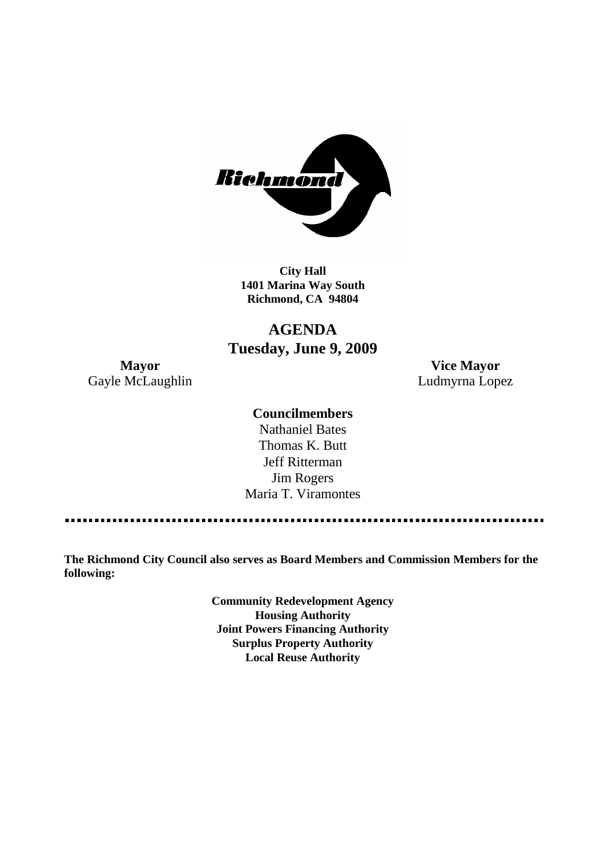

**City Hall 1401 Marina Way South Richmond, CA 94804**

# **AGENDA Tuesday, June 9, 2009**

Gayle McLaughlin **Ludmyrna Lopez** 

**Mayor Vice Mayor**

### **Councilmembers**

Nathaniel Bates Thomas K. Butt Jeff Ritterman Jim Rogers Maria T. Viramontes

**The Richmond City Council also serves as Board Members and Commission Members for the following:**

> **Community Redevelopment Agency Housing Authority Joint Powers Financing Authority Surplus Property Authority Local Reuse Authority**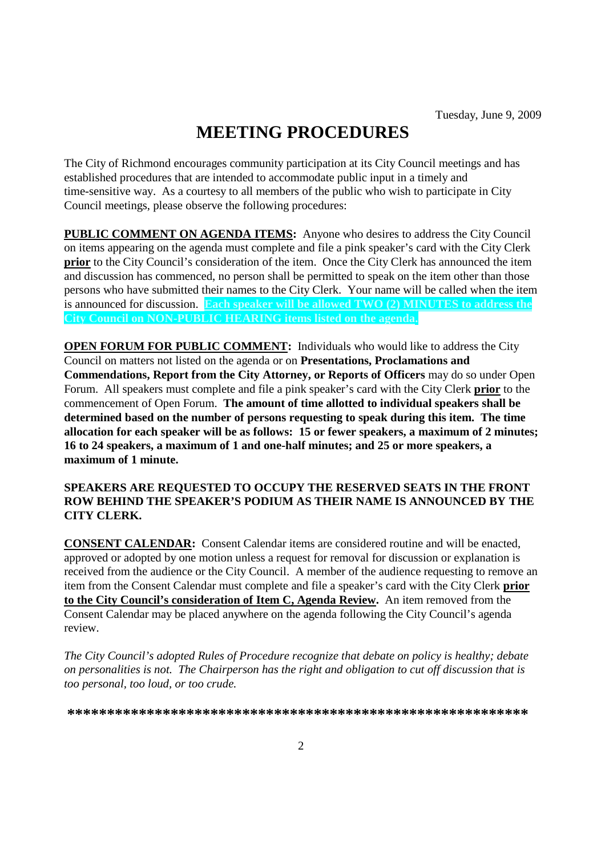# **MEETING PROCEDURES**

The City of Richmond encourages community participation at its City Council meetings and has established procedures that are intended to accommodate public input in a timely and time-sensitive way. As a courtesy to all members of the public who wish to participate in City Council meetings, please observe the following procedures:

**PUBLIC COMMENT ON AGENDA ITEMS:** Anyone who desires to address the City Council on items appearing on the agenda must complete and file a pink speaker's card with the City Clerk **prior** to the City Council's consideration of the item. Once the City Clerk has announced the item and discussion has commenced, no person shall be permitted to speak on the item other than those persons who have submitted their names to the City Clerk. Your name will be called when the item is announced for discussion. **Each speaker will be allowed TWO (2) MINUTES to address the City Council on NON-PUBLIC HEARING items listed on the agenda.**

**OPEN FORUM FOR PUBLIC COMMENT:** Individuals who would like to address the City Council on matters not listed on the agenda or on **Presentations, Proclamations and Commendations, Report from the City Attorney, or Reports of Officers** may do so under Open Forum. All speakers must complete and file a pink speaker's card with the City Clerk **prior** to the commencement of Open Forum. **The amount of time allotted to individual speakers shall be determined based on the number of persons requesting to speak during this item. The time allocation for each speaker will be as follows: 15 or fewer speakers, a maximum of 2 minutes; 16 to 24 speakers, a maximum of 1 and one-half minutes; and 25 or more speakers, a maximum of 1 minute.**

### **SPEAKERS ARE REQUESTED TO OCCUPY THE RESERVED SEATS IN THE FRONT ROW BEHIND THE SPEAKER'S PODIUM AS THEIR NAME IS ANNOUNCED BY THE CITY CLERK.**

**CONSENT CALENDAR:** Consent Calendar items are considered routine and will be enacted, approved or adopted by one motion unless a request for removal for discussion or explanation is received from the audience or the City Council. A member of the audience requesting to remove an item from the Consent Calendar must complete and file a speaker's card with the City Clerk **prior to the City Council's consideration of Item C, Agenda Review.** An item removed from the Consent Calendar may be placed anywhere on the agenda following the City Council's agenda review.

*The City Council's adopted Rules of Procedure recognize that debate on policy is healthy; debate on personalities is not. The Chairperson has the right and obligation to cut off discussion that is too personal, too loud, or too crude.*

**\*\*\*\*\*\*\*\*\*\*\*\*\*\*\*\*\*\*\*\*\*\*\*\*\*\*\*\*\*\*\*\*\*\*\*\*\*\*\*\*\*\*\*\*\*\*\*\*\*\*\*\*\*\*\*\*\*\***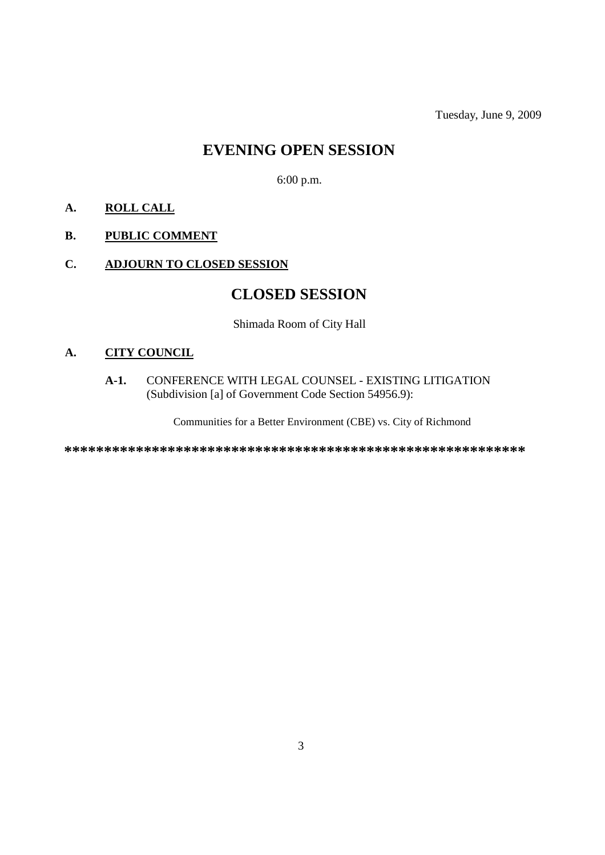Tuesday, June 9, 2009

# **EVENING OPEN SESSION**

6:00 p.m.

# **A. ROLL CALL**

# **B. PUBLIC COMMENT**

### **C. ADJOURN TO CLOSED SESSION**

# **CLOSED SESSION**

Shimada Room of City Hall

## **A. CITY COUNCIL**

#### **A-1.** CONFERENCE WITH LEGAL COUNSEL - EXISTING LITIGATION (Subdivision [a] of Government Code Section 54956.9):

Communities for a Better Environment (CBE) vs. City of Richmond

**\*\*\*\*\*\*\*\*\*\*\*\*\*\*\*\*\*\*\*\*\*\*\*\*\*\*\*\*\*\*\*\*\*\*\*\*\*\*\*\*\*\*\*\*\*\*\*\*\*\*\*\*\*\*\*\*\*\***